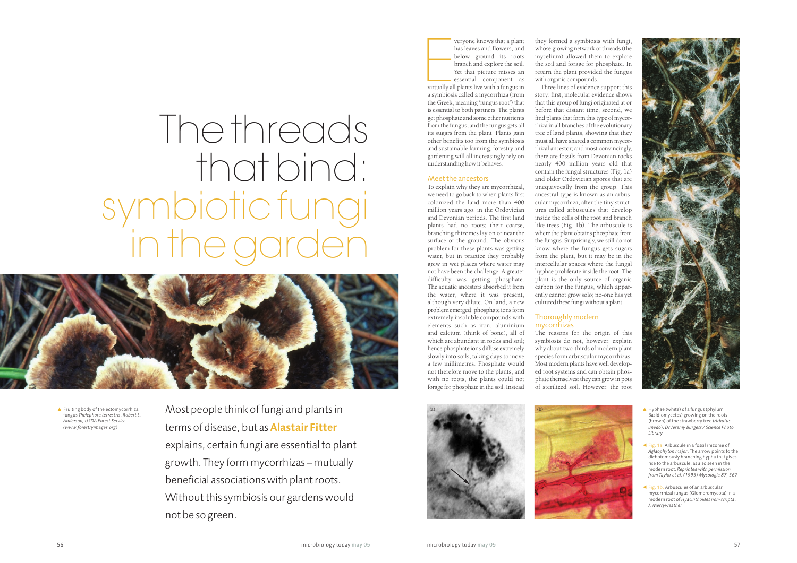veryone knows that a plant<br>has leaves and flowers, and<br>below ground its roots<br>branch and explore the soil.<br>Yet that picture misses an<br>essential component as<br>virtually all plants live with a fungus in<br>a sumbiosic called a m veryone knows that a plant has leaves and flowers, and below ground its roots branch and explore the soil. Yet that picture misses an essential component as a symbiosis called a mycorrhiza (from the Greek, meaning 'fungus root') that is essential to both partners. The plants get phosphate and some other nutrients from the fungus, and the fungus gets all its sugars from the plant. Plants gain other benefits too from the symbiosis and sustainable farming, forestry and gardening will all increasingly rely on understanding how it behaves.

#### Meet the ancestors

- $\triangle$  Hyphae (white) of a fungus (phylum Basidiomycetes) growing on the roots (brown) of the strawberry tree (*Arbutus unedo*). *Dr Jeremy Burgess / Science Photo Library*
- b Fig. 1a. Arbuscule in a fossil rhizome of *Aglaophyton major*. The arrow points to the dichotomously branching hypha that gives rise to the arbuscule, as also seen in the modern root. *Reprinted with permission from Taylor et al. (1995) Mycologia 87, 567*
- Fig. 1b. Arbuscules of an arbuscular mycorrhizal fungus (Glomeromycota) in a modern root of *Hyacinthoides non-scripta*. *J. Merryweather*

To explain why they are mycorrhizal, we need to go back to when plants first colonized the land more than 400 million years ago, in the Ordovician and Devonian periods. The first land plants had no roots; their coarse, branching rhizomes lay on or near the surface of the ground. The obvious problem for these plants was getting water, but in practice they probably grew in wet places where water may not have been the challenge. A greater difficulty was getting phosphate. The aquatic ancestors absorbed it from the water, where it was present, although very dilute. On land, a new problem emerged: phosphate ions form extremely insoluble compounds with elements such as iron, aluminium and calcium (think of bone), all of which are abundant in rocks and soil; hence phosphate ions diffuse extremely slowly into soils, taking days to move a few millimetres. Phosphate would not therefore move to the plants, and with no roots, the plants could not forage for phosphate in the soil. Instead

 $\triangle$  Fruiting body of the ectomycorrhizal fungus *Thelephora terrestris*. *Robert L. Anderson, USDA Forest Service (www.forestryimages.org)*





they formed a symbiosis with fungi, whose growing network of threads (the mycelium) allowed them to explore the soil and forage for phosphate. In return the plant provided the fungus

with organic compounds.

Three lines of evidence support this story: first, molecular evidence shows that this group of fungi originated at or before that distant time; second, we find plants that form this type of mycorrhiza in all branches of the evolutionary tree of land plants, showing that they must all have shared a common mycorrhizal ancestor; and most convincingly, there are fossils from Devonian rocks nearly 400 million years old that contain the fungal structures (Fig. 1a) and older Ordovician spores that are unequivocally from the group. This ancestral type is known as an arbuscular mycorrhiza, after the tiny structures called arbuscules that develop inside the cells of the root and branch like trees (Fig. 1b). The arbuscule is where the plant obtains phosphate from the fungus. Surprisingly, we still do not know where the fungus gets sugars from the plant, but it may be in the intercellular spaces where the fungal hyphae proliferate inside the root. The plant is the only source of organic carbon for the fungus, which apparently cannot grow solo; no-one has yet cultured these fungi without a plant.

Thoroughly modern

mycorrhizas

The reasons for the origin of this symbiosis do not, however, explain why about two-thirds of modern plant species form arbuscular mycorrhizas. Most modern plants have well developed root systems and can obtain phosphate themselves: they can grow in pots of sterilized soil. However, the root



Most people think of fungi and plants in terms of disease, but as **Alastair Fitter** explains, certain fungi are essential to plant growth. They form mycorrhizas – mutually beneficial associations with plant roots. Without this symbiosis our gardens would not be so green.

# The threads that bind: symbiotic fungi in the garden